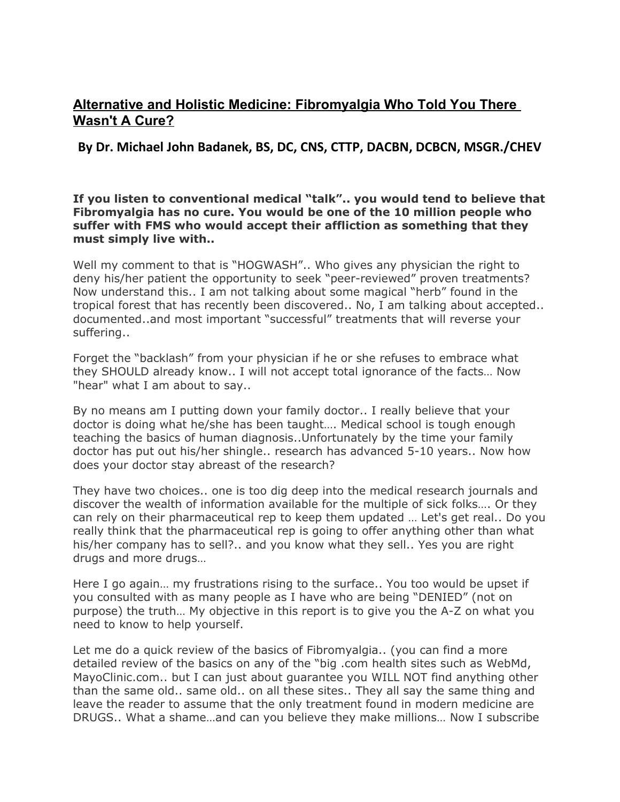# **Alternative and Holistic Medicine: Fibromyalgia Who Told You There Wasn't A Cure?**

**By Dr. Michael John Badanek, BS, DC, CNS, CTTP, DACBN, DCBCN, MSGR./CHEV**

# **If you listen to conventional medical "talk".. you would tend to believe that Fibromyalgia has no cure. You would be one of the 10 million people who suffer with FMS who would accept their affliction as something that they must simply live with..**

Well my comment to that is "HOGWASH".. Who gives any physician the right to deny his/her patient the opportunity to seek "peer-reviewed" proven treatments? Now understand this.. I am not talking about some magical "herb" found in the tropical forest that has recently been discovered.. No, I am talking about accepted.. documented..and most important "successful" treatments that will reverse your suffering..

Forget the "backlash" from your physician if he or she refuses to embrace what they SHOULD already know.. I will not accept total ignorance of the facts… Now "hear" what I am about to say..

By no means am I putting down your family doctor.. I really believe that your doctor is doing what he/she has been taught…. Medical school is tough enough teaching the basics of human diagnosis..Unfortunately by the time your family doctor has put out his/her shingle.. research has advanced 5-10 years.. Now how does your doctor stay abreast of the research?

They have two choices.. one is too dig deep into the medical research journals and discover the wealth of information available for the multiple of sick folks…. Or they can rely on their pharmaceutical rep to keep them updated … Let's get real.. Do you really think that the pharmaceutical rep is going to offer anything other than what his/her company has to sell?.. and you know what they sell.. Yes you are right drugs and more drugs…

Here I go again… my frustrations rising to the surface.. You too would be upset if you consulted with as many people as I have who are being "DENIED" (not on purpose) the truth… My objective in this report is to give you the A-Z on what you need to know to help yourself.

Let me do a quick review of the basics of Fibromyalgia.. (you can find a more detailed review of the basics on any of the "big .com health sites such as WebMd, MayoClinic.com.. but I can just about guarantee you WILL NOT find anything other than the same old.. same old.. on all these sites.. They all say the same thing and leave the reader to assume that the only treatment found in modern medicine are DRUGS.. What a shame…and can you believe they make millions… Now I subscribe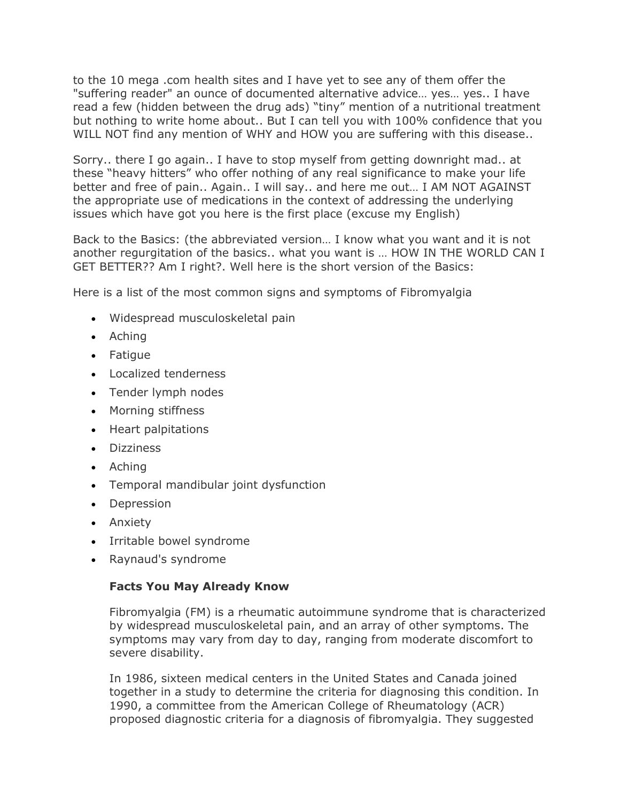to the 10 mega .com health sites and I have yet to see any of them offer the "suffering reader" an ounce of documented alternative advice… yes… yes.. I have read a few (hidden between the drug ads) "tiny" mention of a nutritional treatment but nothing to write home about.. But I can tell you with 100% confidence that you WILL NOT find any mention of WHY and HOW you are suffering with this disease..

Sorry.. there I go again.. I have to stop myself from getting downright mad.. at these "heavy hitters" who offer nothing of any real significance to make your life better and free of pain.. Again.. I will say.. and here me out… I AM NOT AGAINST the appropriate use of medications in the context of addressing the underlying issues which have got you here is the first place (excuse my English)

Back to the Basics: (the abbreviated version… I know what you want and it is not another regurgitation of the basics.. what you want is … HOW IN THE WORLD CAN I GET BETTER?? Am I right?. Well here is the short version of the Basics:

Here is a list of the most common signs and symptoms of Fibromyalgia

- Widespread musculoskeletal pain
- Aching
- Fatigue
- Localized tenderness
- Tender lymph nodes
- Morning stiffness
- Heart palpitations
- **•** Dizziness
- Aching
- Temporal mandibular joint dysfunction
- Depression
- Anxiety
- Irritable bowel syndrome
- Raynaud's syndrome

#### **Facts You May Already Know**

Fibromyalgia (FM) is a rheumatic autoimmune syndrome that is characterized by widespread musculoskeletal pain, and an array of other symptoms. The symptoms may vary from day to day, ranging from moderate discomfort to severe disability.

In 1986, sixteen medical centers in the United States and Canada joined together in a study to determine the criteria for diagnosing this condition. In 1990, a committee from the American College of Rheumatology (ACR) proposed diagnostic criteria for a diagnosis of fibromyalgia. They suggested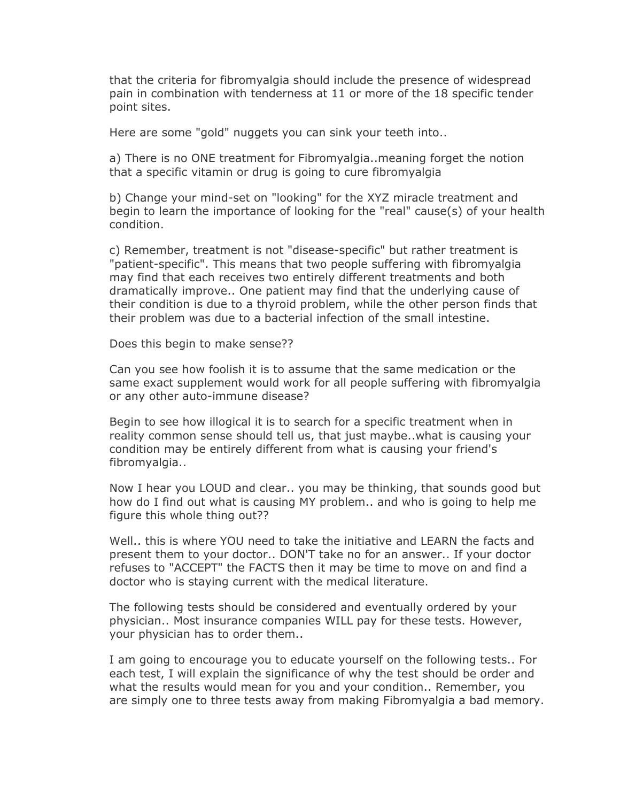that the criteria for fibromyalgia should include the presence of widespread pain in combination with tenderness at 11 or more of the 18 specific tender point sites.

Here are some "gold" nuggets you can sink your teeth into..

a) There is no ONE treatment for Fibromyalgia..meaning forget the notion that a specific vitamin or drug is going to cure fibromyalgia

b) Change your mind-set on "looking" for the XYZ miracle treatment and begin to learn the importance of looking for the "real" cause(s) of your health condition.

c) Remember, treatment is not "disease-specific" but rather treatment is "patient-specific". This means that two people suffering with fibromyalgia may find that each receives two entirely different treatments and both dramatically improve.. One patient may find that the underlying cause of their condition is due to a thyroid problem, while the other person finds that their problem was due to a bacterial infection of the small intestine.

Does this begin to make sense??

Can you see how foolish it is to assume that the same medication or the same exact supplement would work for all people suffering with fibromyalgia or any other auto-immune disease?

Begin to see how illogical it is to search for a specific treatment when in reality common sense should tell us, that just maybe..what is causing your condition may be entirely different from what is causing your friend's fibromyalgia..

Now I hear you LOUD and clear.. you may be thinking, that sounds good but how do I find out what is causing MY problem.. and who is going to help me figure this whole thing out??

Well.. this is where YOU need to take the initiative and LEARN the facts and present them to your doctor.. DON'T take no for an answer.. If your doctor refuses to "ACCEPT" the FACTS then it may be time to move on and find a doctor who is staying current with the medical literature.

The following tests should be considered and eventually ordered by your physician.. Most insurance companies WILL pay for these tests. However, your physician has to order them..

I am going to encourage you to educate yourself on the following tests.. For each test, I will explain the significance of why the test should be order and what the results would mean for you and your condition.. Remember, you are simply one to three tests away from making Fibromyalgia a bad memory.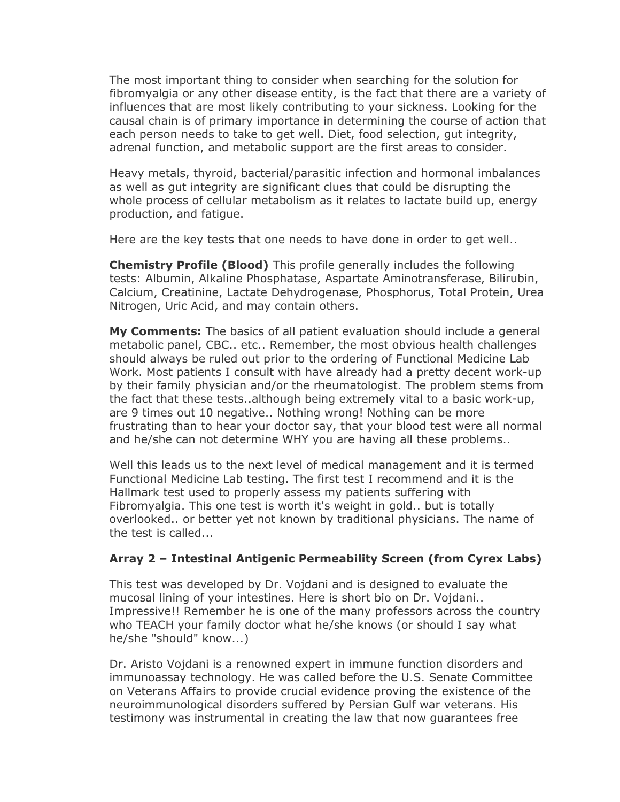The most important thing to consider when searching for the solution for fibromyalgia or any other disease entity, is the fact that there are a variety of influences that are most likely contributing to your sickness. Looking for the causal chain is of primary importance in determining the course of action that each person needs to take to get well. Diet, food selection, gut integrity, adrenal function, and metabolic support are the first areas to consider.

Heavy metals, thyroid, bacterial/parasitic infection and hormonal imbalances as well as gut integrity are significant clues that could be disrupting the whole process of cellular metabolism as it relates to lactate build up, energy production, and fatigue.

Here are the key tests that one needs to have done in order to get well..

**Chemistry Profile (Blood)** This profile generally includes the following tests: Albumin, Alkaline Phosphatase, Aspartate Aminotransferase, Bilirubin, Calcium, Creatinine, Lactate Dehydrogenase, Phosphorus, Total Protein, Urea Nitrogen, Uric Acid, and may contain others.

**My Comments:** The basics of all patient evaluation should include a general metabolic panel, CBC.. etc.. Remember, the most obvious health challenges should always be ruled out prior to the ordering of Functional Medicine Lab Work. Most patients I consult with have already had a pretty decent work-up by their family physician and/or the rheumatologist. The problem stems from the fact that these tests..although being extremely vital to a basic work-up, are 9 times out 10 negative.. Nothing wrong! Nothing can be more frustrating than to hear your doctor say, that your blood test were all normal and he/she can not determine WHY you are having all these problems..

Well this leads us to the next level of medical management and it is termed Functional Medicine Lab testing. The first test I recommend and it is the Hallmark test used to properly assess my patients suffering with Fibromyalgia. This one test is worth it's weight in gold.. but is totally overlooked.. or better yet not known by traditional physicians. The name of the test is called...

# **Array 2 – Intestinal Antigenic Permeability Screen (from Cyrex Labs)**

This test was developed by Dr. Vojdani and is designed to evaluate the mucosal lining of your intestines. Here is short bio on Dr. Vojdani.. Impressive!! Remember he is one of the many professors across the country who TEACH your family doctor what he/she knows (or should I say what he/she "should" know...)

Dr. Aristo Vojdani is a renowned expert in immune function disorders and immunoassay technology. He was called before the U.S. Senate Committee on Veterans Affairs to provide crucial evidence proving the existence of the neuroimmunological disorders suffered by Persian Gulf war veterans. His testimony was instrumental in creating the law that now guarantees free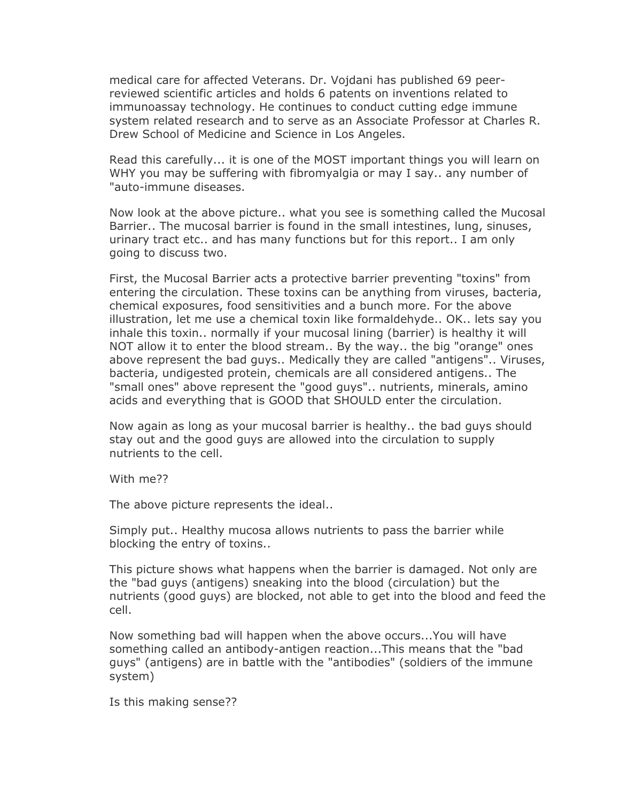medical care for affected Veterans. Dr. Vojdani has published 69 peerreviewed scientific articles and holds 6 patents on inventions related to immunoassay technology. He continues to conduct cutting edge immune system related research and to serve as an Associate Professor at Charles R. Drew School of Medicine and Science in Los Angeles.

Read this carefully... it is one of the MOST important things you will learn on WHY you may be suffering with fibromyalgia or may I say.. any number of "auto-immune diseases.

Now look at the above picture.. what you see is something called the Mucosal Barrier.. The mucosal barrier is found in the small intestines, lung, sinuses, urinary tract etc.. and has many functions but for this report.. I am only going to discuss two.

First, the Mucosal Barrier acts a protective barrier preventing "toxins" from entering the circulation. These toxins can be anything from viruses, bacteria, chemical exposures, food sensitivities and a bunch more. For the above illustration, let me use a chemical toxin like formaldehyde.. OK.. lets say you inhale this toxin.. normally if your mucosal lining (barrier) is healthy it will NOT allow it to enter the blood stream.. By the way.. the big "orange" ones above represent the bad guys.. Medically they are called "antigens".. Viruses, bacteria, undigested protein, chemicals are all considered antigens.. The "small ones" above represent the "good guys".. nutrients, minerals, amino acids and everything that is GOOD that SHOULD enter the circulation.

Now again as long as your mucosal barrier is healthy.. the bad guys should stay out and the good guys are allowed into the circulation to supply nutrients to the cell.

With me??

The above picture represents the ideal..

Simply put.. Healthy mucosa allows nutrients to pass the barrier while blocking the entry of toxins..

This picture shows what happens when the barrier is damaged. Not only are the "bad guys (antigens) sneaking into the blood (circulation) but the nutrients (good guys) are blocked, not able to get into the blood and feed the cell.

Now something bad will happen when the above occurs...You will have something called an antibody-antigen reaction...This means that the "bad guys" (antigens) are in battle with the "antibodies" (soldiers of the immune system)

Is this making sense??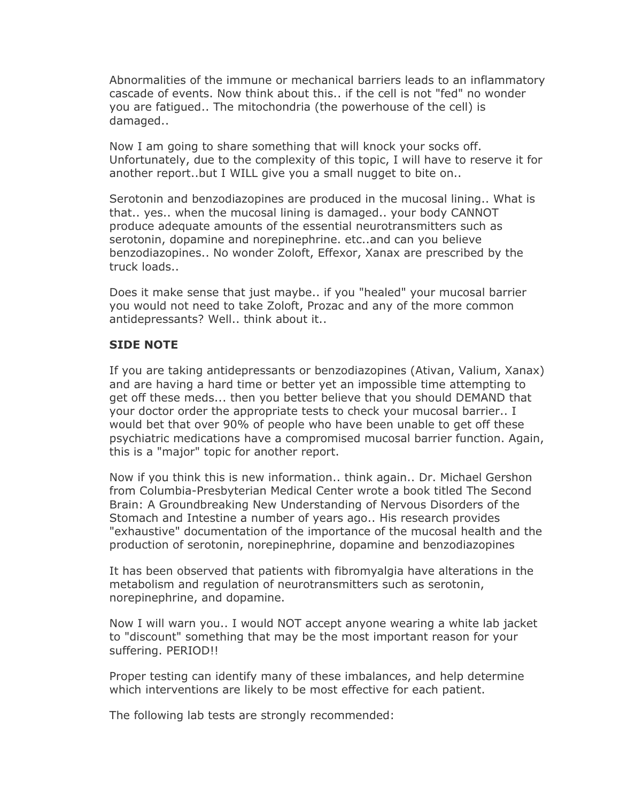Abnormalities of the immune or mechanical barriers leads to an inflammatory cascade of events. Now think about this.. if the cell is not "fed" no wonder you are fatigued.. The mitochondria (the powerhouse of the cell) is damaged..

Now I am going to share something that will knock your socks off. Unfortunately, due to the complexity of this topic, I will have to reserve it for another report..but I WILL give you a small nugget to bite on..

Serotonin and benzodiazopines are produced in the mucosal lining.. What is that.. yes.. when the mucosal lining is damaged.. your body CANNOT produce adequate amounts of the essential neurotransmitters such as serotonin, dopamine and norepinephrine. etc..and can you believe benzodiazopines.. No wonder Zoloft, Effexor, Xanax are prescribed by the truck loads..

Does it make sense that just maybe.. if you "healed" your mucosal barrier you would not need to take Zoloft, Prozac and any of the more common antidepressants? Well.. think about it..

#### **SIDE NOTE**

If you are taking antidepressants or benzodiazopines (Ativan, Valium, Xanax) and are having a hard time or better yet an impossible time attempting to get off these meds... then you better believe that you should DEMAND that your doctor order the appropriate tests to check your mucosal barrier.. I would bet that over 90% of people who have been unable to get off these psychiatric medications have a compromised mucosal barrier function. Again, this is a "major" topic for another report.

Now if you think this is new information.. think again.. Dr. Michael Gershon from Columbia-Presbyterian Medical Center wrote a book titled The Second Brain: A Groundbreaking New Understanding of Nervous Disorders of the Stomach and Intestine a number of years ago.. His research provides "exhaustive" documentation of the importance of the mucosal health and the production of serotonin, norepinephrine, dopamine and benzodiazopines

It has been observed that patients with fibromyalgia have alterations in the metabolism and regulation of neurotransmitters such as serotonin, norepinephrine, and dopamine.

Now I will warn you.. I would NOT accept anyone wearing a white lab jacket to "discount" something that may be the most important reason for your suffering. PERIOD!!

Proper testing can identify many of these imbalances, and help determine which interventions are likely to be most effective for each patient.

The following lab tests are strongly recommended: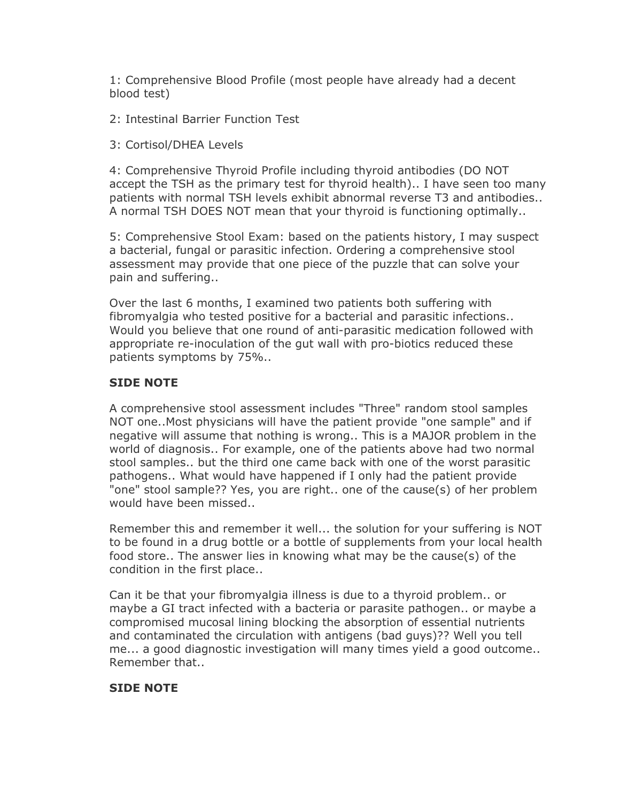1: Comprehensive Blood Profile (most people have already had a decent blood test)

2: Intestinal Barrier Function Test

# 3: Cortisol/DHEA Levels

4: Comprehensive Thyroid Profile including thyroid antibodies (DO NOT accept the TSH as the primary test for thyroid health).. I have seen too many patients with normal TSH levels exhibit abnormal reverse T3 and antibodies.. A normal TSH DOES NOT mean that your thyroid is functioning optimally..

5: Comprehensive Stool Exam: based on the patients history, I may suspect a bacterial, fungal or parasitic infection. Ordering a comprehensive stool assessment may provide that one piece of the puzzle that can solve your pain and suffering..

Over the last 6 months, I examined two patients both suffering with fibromyalgia who tested positive for a bacterial and parasitic infections.. Would you believe that one round of anti-parasitic medication followed with appropriate re-inoculation of the gut wall with pro-biotics reduced these patients symptoms by 75%..

# **SIDE NOTE**

A comprehensive stool assessment includes "Three" random stool samples NOT one..Most physicians will have the patient provide "one sample" and if negative will assume that nothing is wrong.. This is a MAJOR problem in the world of diagnosis.. For example, one of the patients above had two normal stool samples.. but the third one came back with one of the worst parasitic pathogens.. What would have happened if I only had the patient provide "one" stool sample?? Yes, you are right.. one of the cause(s) of her problem would have been missed..

Remember this and remember it well... the solution for your suffering is NOT to be found in a drug bottle or a bottle of supplements from your local health food store.. The answer lies in knowing what may be the cause(s) of the condition in the first place..

Can it be that your fibromyalgia illness is due to a thyroid problem.. or maybe a GI tract infected with a bacteria or parasite pathogen.. or maybe a compromised mucosal lining blocking the absorption of essential nutrients and contaminated the circulation with antigens (bad guys)?? Well you tell me... a good diagnostic investigation will many times yield a good outcome.. Remember that..

#### **SIDE NOTE**